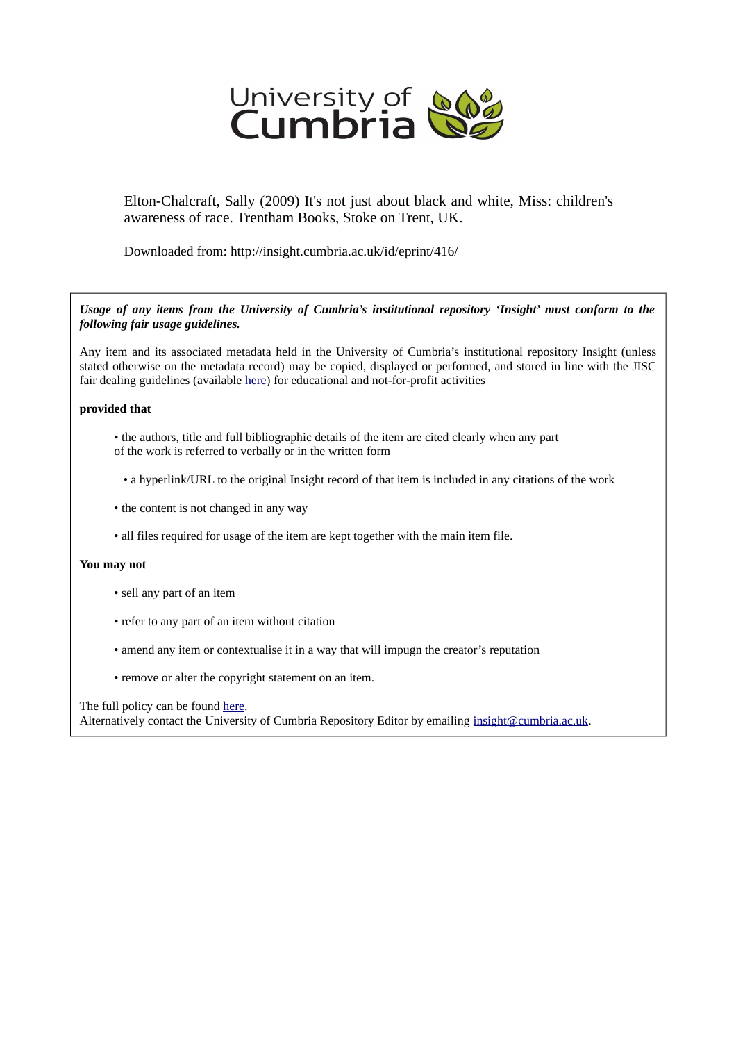

Elton-Chalcraft, Sally (2009) It's not just about black and white, Miss: children's awareness of race. Trentham Books, Stoke on Trent, UK.

Downloaded from: http://insight.cumbria.ac.uk/id/eprint/416/

*Usage of any items from the University of Cumbria's institutional repository 'Insight' must conform to the following fair usage guidelines.*

Any item and its associated metadata held in the University of Cumbria's institutional repository Insight (unless stated otherwise on the metadata record) may be copied, displayed or performed, and stored in line with the JISC fair dealing guidelines (available [here\)](http://www.ukoln.ac.uk/services/elib/papers/pa/fair/) for educational and not-for-profit activities

## **provided that**

- the authors, title and full bibliographic details of the item are cited clearly when any part of the work is referred to verbally or in the written form
	- a hyperlink/URL to the original Insight record of that item is included in any citations of the work
- the content is not changed in any way
- all files required for usage of the item are kept together with the main item file.

## **You may not**

- sell any part of an item
- refer to any part of an item without citation
- amend any item or contextualise it in a way that will impugn the creator's reputation
- remove or alter the copyright statement on an item.

The full policy can be found [here.](http://insight.cumbria.ac.uk/legal.html#section5)

Alternatively contact the University of Cumbria Repository Editor by emailing [insight@cumbria.ac.uk.](mailto:insight@cumbria.ac.uk)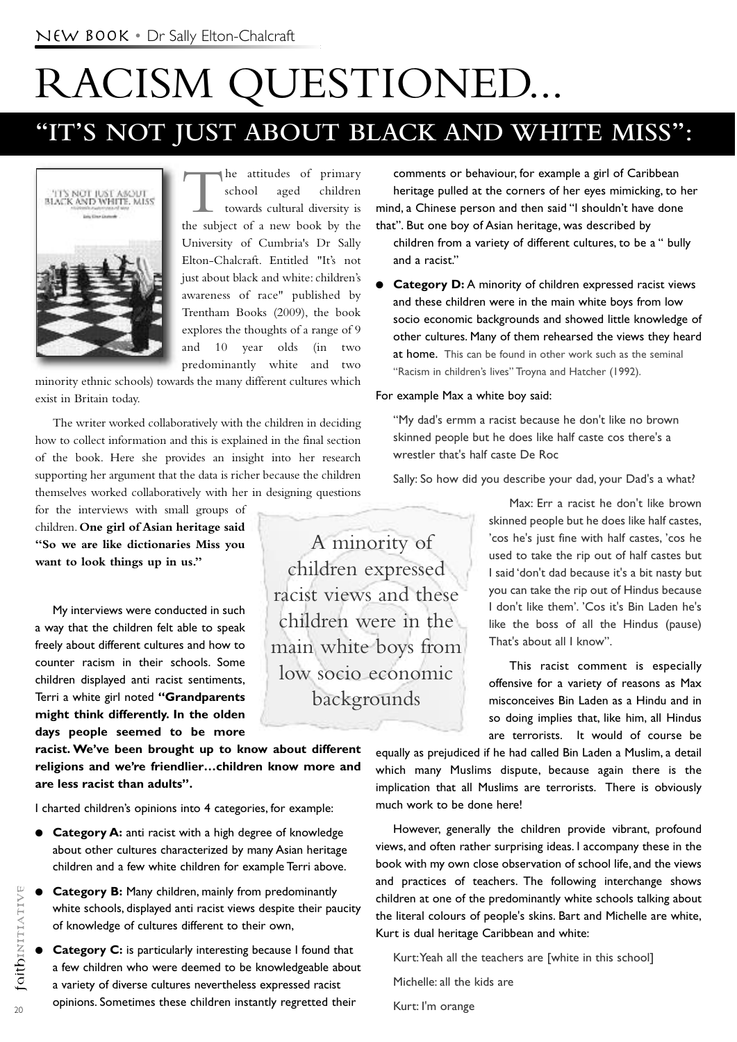# RACISM QUESTIONED...

# **"IT'S NOT JUST ABOUT BLACK AND WHITE MISS" :**



The attitudes of primary<br>school aged children school aged towards cultural diversity is the subject of a new book by the University of Cumbria's Dr Sally Elton-Chalcraft. Entitled "It's not just about black and white: children's awareness of race" published by Trentham Books (2009), the book explores the thoughts of a range of 9 and 10 year olds (in two predominantly white and two

minority ethnic schools) towards the many different cultures which exist in Britain today.

The writer worked collaboratively with the children in deciding how to collect information and this is explained in the final section of the book. Here she provides an insight into her research supporting her argument that the data is richer because the children themselves worked collaboratively with her in designing questions

for the interviews with small groups of children. **One girl of Asian heritage said "So we are like dictionaries Miss you want to look things up in us."**

My interviews were conducted in such a way that the children felt able to speak freely about different cultures and how to counter racism in their schools. Some children displayed anti racist sentiments, Terri a white girl noted **"Grandparents might think differently. In the olden days people seemed to be more**

**racist. We've been brought up to know about different religions and we're friendlier…children know more and are less racist than adults".**

I charted children's opinions into 4 categories, for example:

- **Category A:** anti racist with a high degree of knowledge about other cultures characterized by many Asian heritage children and a few white children for example Terri above.
- **e** Category B: Many children, mainly from predominantly white schools, displayed anti racist views despite their paucity of knowledge of cultures different to their own,
- **e** Category C: is particularly interesting because I found that a few children who were deemed to be knowledgeable about a variety of diverse cultures nevertheless expressed racist opinions. Sometimes these children instantly regretted their

at home. This can be found in other work such as the seminal "Racism in children's lives" Troyna and Hatcher (1992). For example Max a white boy said: "My dad's ermm a racist because he don't like no brown skinned people but he does like half caste cos there's a wrestler that's half caste De Roc Sally: So how did you describe your dad, your Dad's a what?

A minority of children expressed

racist views and these

children were in the

main white boys from

low socio economic

backgrounds

and a racist."

Max: Err a racist he don't like brown skinned people but he does like half castes, 'cos he's just fine with half castes, 'cos he used to take the rip out of half castes but I said 'don't dad because it's a bit nasty but you can take the rip out of Hindus because I don't like them'. 'Cos it's Bin Laden he's like the boss of all the Hindus (pause) That's about all I know".

This racist comment is especially offensive for a variety of reasons as Max misconceives Bin Laden as a Hindu and in so doing implies that, like him, all Hindus are terrorists. It would of course be

equally as prejudiced if he had called Bin Laden a Muslim, a detail which many Muslims dispute, because again there is the implication that all Muslims are terrorists. There is obviously much work to be done here!

comments or behaviour, for example a girl of Caribbean heritage pulled at the corners of her eyes mimicking, to her mind, a Chinese person and then said "I shouldn't have done that". But one boy of Asian heritage, was described by

children from a variety of different cultures, to be a " bully

**Category D:** A minority of children expressed racist views and these children were in the main white boys from low socio economic backgrounds and showed little knowledge of other cultures. Many of them rehearsed the views they heard

However, generally the children provide vibrant, profound views, and often rather surprising ideas. I accompany these in the book with my own close observation of school life, and the views and practices of teachers. The following interchange shows children at one of the predominantly white schools talking about the literal colours of people's skins. Bart and Michelle are white, Kurt is dual heritage Caribbean and white:

Kurt:Yeah all the teachers are [white in this school]

Michelle: all the kids are

Kurt: I'm orange

 $20$